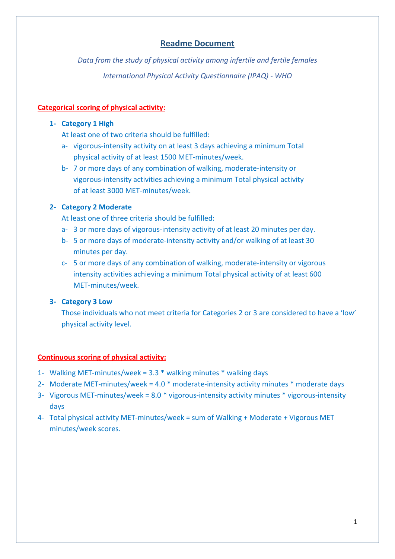# **Readme Document**

*Data from the study of physical activity among infertile and fertile females International Physical Activity Questionnaire (IPAQ) - WHO*

## **Categorical scoring of physical activity:**

#### **1- Category 1 High**

At least one of two criteria should be fulfilled:

- a- vigorous-intensity activity on at least 3 days achieving a minimum Total physical activity of at least 1500 MET-minutes/week.
- b- 7 or more days of any combination of walking, moderate-intensity or vigorous-intensity activities achieving a minimum Total physical activity of at least 3000 MET-minutes/week.

## **2- Category 2 Moderate**

At least one of three criteria should be fulfilled:

- a- 3 or more days of vigorous-intensity activity of at least 20 minutes per day.
- b- 5 or more days of moderate-intensity activity and/or walking of at least 30 minutes per day.
- c- 5 or more days of any combination of walking, moderate-intensity or vigorous intensity activities achieving a minimum Total physical activity of at least 600 MET-minutes/week.

## **3- Category 3 Low**

Those individuals who not meet criteria for Categories 2 or 3 are considered to have a 'low' physical activity level.

#### **Continuous scoring of physical activity:**

- 1- Walking MET-minutes/week = 3.3 \* walking minutes \* walking days
- 2- Moderate MET-minutes/week = 4.0 \* moderate-intensity activity minutes \* moderate days
- 3- Vigorous MET-minutes/week = 8.0 \* vigorous-intensity activity minutes \* vigorous-intensity days
- 4- Total physical activity MET-minutes/week = sum of Walking + Moderate + Vigorous MET minutes/week scores.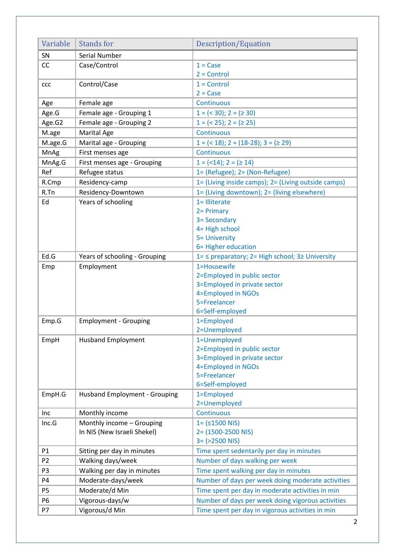| Variable       | <b>Stands for</b>                    | Description/Equation                                                      |
|----------------|--------------------------------------|---------------------------------------------------------------------------|
| SN             | Serial Number                        |                                                                           |
| CC             | Case/Control                         | $1 = Case$                                                                |
|                |                                      | $2 =$ Control                                                             |
| ccc            | Control/Case                         | $1 =$ Control                                                             |
|                |                                      | $2 = Case$                                                                |
| Age            | Female age                           | Continuous                                                                |
| Age.G          | Female age - Grouping 1              | $1 = (30); 2 = (230)$                                                     |
| Age.G2         | Female age - Grouping 2              | $1 = (25); 2 = (25)$                                                      |
| M.age          | Marital Age                          | Continuous                                                                |
| M.age.G        | Marital age - Grouping               | $1 = \left( 218 \right); 2 = \left( 18-28 \right); 3 = \left( 29 \right)$ |
| MnAg           | First menses age                     | Continuous                                                                |
| MnAg.G         | First menses age - Grouping          | $1 = (214); 2 = (214)$                                                    |
| Ref            | Refugee status                       | 1= (Refugee); 2= (Non-Refugee)                                            |
| R.Cmp          | Residency-camp                       | 1= (Living inside camps); 2= (Living outside camps)                       |
| R.Tn           | Residency-Downtown                   | 1= (Living downtown); 2= (living elsewhere)                               |
| Ed             | Years of schooling                   | 1= Illiterate                                                             |
|                |                                      | 2 = Primary                                                               |
|                |                                      | 3= Secondary                                                              |
|                |                                      | 4= High school                                                            |
|                |                                      | 5= University                                                             |
|                |                                      | 6= Higher education                                                       |
| Ed.G           | Years of schooling - Grouping        | 1= ≤ preparatory; 2= High school; 3≥ University                           |
| Emp            | Employment                           | 1=Housewife                                                               |
|                |                                      | 2=Employed in public sector                                               |
|                |                                      | 3=Employed in private sector                                              |
|                |                                      | 4=Employed in NGOs                                                        |
|                |                                      | 5=Freelancer                                                              |
|                |                                      | 6=Self-employed                                                           |
| Emp.G          | <b>Employment - Grouping</b>         | 1=Employed                                                                |
|                |                                      | 2=Unemployed                                                              |
| EmpH           | <b>Husband Employment</b>            | 1=Unemployed<br>2=Employed in public sector                               |
|                |                                      | 3=Employed in private sector                                              |
|                |                                      | 4=Employed in NGOs                                                        |
|                |                                      | 5=Freelancer                                                              |
|                |                                      | 6=Self-employed                                                           |
| EmpH.G         | <b>Husband Employment - Grouping</b> | 1=Employed                                                                |
|                |                                      | 2=Unemployed                                                              |
| Inc            | Monthly income                       | Continuous                                                                |
| Inc.G          | Monthly income - Grouping            | $1 = (51500 N)$                                                           |
|                | In NIS (New Israeli Shekel)          | $2 = (1500 - 2500$ NIS)                                                   |
|                |                                      | $3 = (2500 N)$                                                            |
| P1             | Sitting per day in minutes           | Time spent sedentarily per day in minutes                                 |
| P <sub>2</sub> | Walking days/week                    | Number of days walking per week                                           |
| P <sub>3</sub> | Walking per day in minutes           | Time spent walking per day in minutes                                     |
| P4             | Moderate-days/week                   | Number of days per week doing moderate activities                         |
| P <sub>5</sub> | Moderate/d Min                       | Time spent per day in moderate activities in min                          |
| P <sub>6</sub> | Vigorous-days/w                      | Number of days per week doing vigorous activities                         |
| P7             | Vigorous/d Min                       | Time spent per day in vigorous activities in min                          |